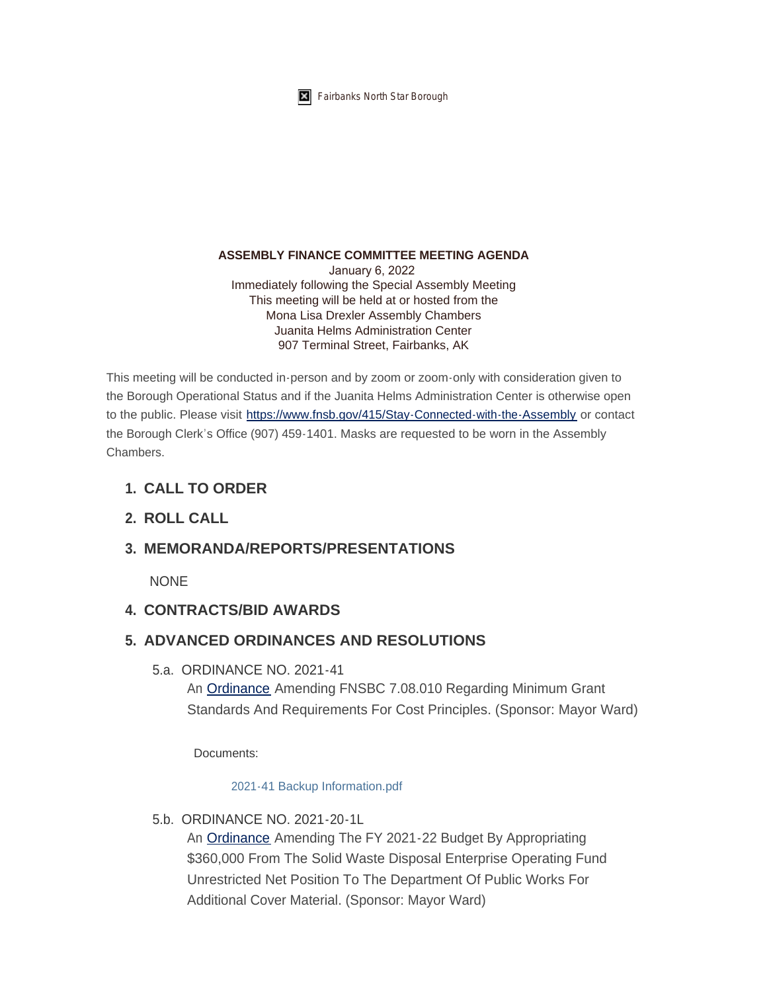

#### **ASSEMBLY FINANCE COMMITTEE MEETING AGENDA**

January 6, 2022 Immediately following the Special Assembly Meeting This meeting will be held at or hosted from the Mona Lisa Drexler Assembly Chambers Juanita Helms Administration Center 907 Terminal Street, Fairbanks, AK

This meeting will be conducted in-person and by zoom or zoom-only with consideration given to the Borough Operational Status and if the Juanita Helms Administration Center is otherwise open to the public. Please visit <https://www.fnsb.gov/415/Stay-Connected-with-the-Assembly>or contact the Borough Clerk's Office (907) 459-1401. Masks are requested to be worn in the Assembly **Chambers** 

### **CALL TO ORDER 1.**

### **ROLL CALL 2.**

### **MEMORANDA/REPORTS/PRESENTATIONS 3.**

NONE

### **CONTRACTS/BID AWARDS 4.**

## **ADVANCED ORDINANCES AND RESOLUTIONS 5.**

5.a. ORDINANCE NO. 2021-41

An [Ordinance](https://www.fnsb.gov/DocumentCenter/View/8641/ORDINANCE-NO-2021-41) Amending FNSBC 7.08.010 Regarding Minimum Grant Standards And Requirements For Cost Principles. (Sponsor: Mayor Ward)

Documents:

#### [2021-41 Backup Information.pdf](https://www.fnsb.gov/AgendaCenter/ViewFile/Item/8014?fileID=10375)

5.b. ORDINANCE NO. 2021-20-1L

An [Ordinance](https://www.fnsb.gov/DocumentCenter/View/8644/ORDINANCE-NO-2021-20-1L) Amending The FY 2021-22 Budget By Appropriating \$360,000 From The Solid Waste Disposal Enterprise Operating Fund Unrestricted Net Position To The Department Of Public Works For Additional Cover Material. (Sponsor: Mayor Ward)